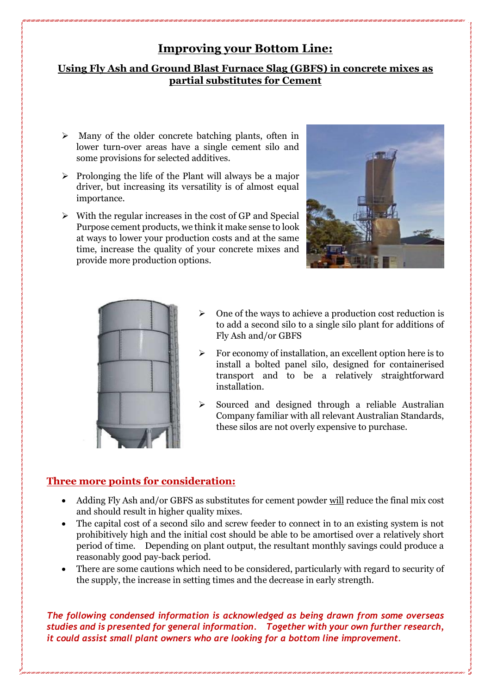# **Improving your Bottom Line:**

## **Using Fly Ash and Ground Blast Furnace Slag (GBFS) in concrete mixes as partial substitutes for Cement**

- $\triangleright$  Many of the older concrete batching plants, often in lower turn-over areas have a single cement silo and some provisions for selected additives.
- $\triangleright$  Prolonging the life of the Plant will always be a major driver, but increasing its versatility is of almost equal importance.
- $\triangleright$  With the regular increases in the cost of GP and Special Purpose cement products, we think it make sense to look at ways to lower your production costs and at the same time, increase the quality of your concrete mixes and provide more production options.





- $\triangleright$  One of the ways to achieve a production cost reduction is to add a second silo to a single silo plant for additions of Fly Ash and/or GBFS
- ➢ For economy of installation, an excellent option here is to install a bolted panel silo, designed for containerised transport and to be a relatively straightforward installation.
- ➢ Sourced and designed through a reliable Australian Company familiar with all relevant Australian Standards, these silos are not overly expensive to purchase.

## **Three more points for consideration:**

- Adding Fly Ash and/or GBFS as substitutes for cement powder will reduce the final mix cost and should result in higher quality mixes.
- The capital cost of a second silo and screw feeder to connect in to an existing system is not prohibitively high and the initial cost should be able to be amortised over a relatively short period of time. Depending on plant output, the resultant monthly savings could produce a reasonably good pay-back period.
- There are some cautions which need to be considered, particularly with regard to security of the supply, the increase in setting times and the decrease in early strength.

*The following condensed information is acknowledged as being drawn from some overseas studies and is presented for general information. Together with your own further research, it could assist small plant owners who are looking for a bottom line improvement.*